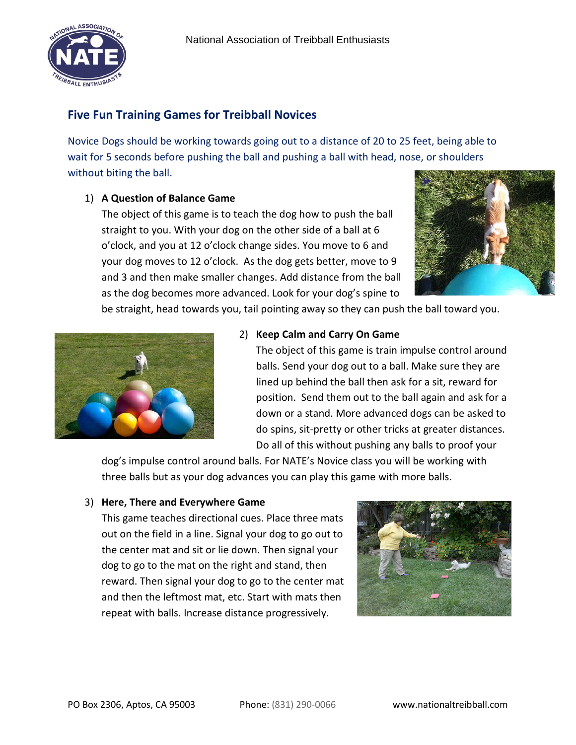

# **Five Fun Training Games for Treibball Novices**

Novice Dogs should be working towards going out to a distance of 20 to 25 feet, being able to wait for 5 seconds before pushing the ball and pushing a ball with head, nose, or shoulders without biting the ball.

#### 1) **A Question of Balance Game**

The object of this game is to teach the dog how to push the ball straight to you. With your dog on the other side of a ball at 6 o'clock, and you at 12 o'clock change sides. You move to 6 and your dog moves to 12 o'clock. As the dog gets better, move to 9 and 3 and then make smaller changes. Add distance from the ball as the dog becomes more advanced. Look for your dog's spine to





#### 2) **Keep Calm and Carry On Game**

be straight, head towards you, tail pointing away so they can push the ball toward you.

The object of this game is train impulse control around balls. Send your dog out to a ball. Make sure they are lined up behind the ball then ask for a sit, reward for position. Send them out to the ball again and ask for a down or a stand. More advanced dogs can be asked to do spins, sit-pretty or other tricks at greater distances. Do all of this without pushing any balls to proof your

dog's impulse control around balls. For NATE's Novice class you will be working with three balls but as your dog advances you can play this game with more balls.

#### 3) **Here, There and Everywhere Game**

This game teaches directional cues. Place three mats out on the field in a line. Signal your dog to go out to the center mat and sit or lie down. Then signal your dog to go to the mat on the right and stand, then reward. Then signal your dog to go to the center mat and then the leftmost mat, etc. Start with mats then repeat with balls. Increase distance progressively.